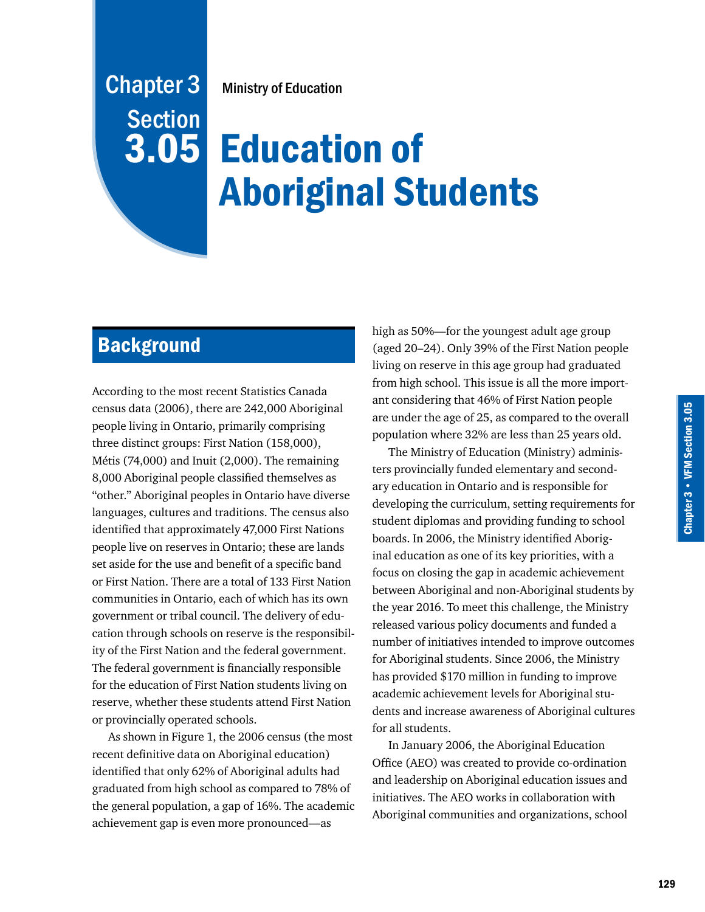# Ministry of Education

# Education of 3.05 Aboriginal Students

# **Background**

Chapter 3

**Section** 

According to the most recent Statistics Canada census data (2006), there are 242,000 Aboriginal people living in Ontario, primarily comprising three distinct groups: First Nation (158,000), Métis (74,000) and Inuit (2,000). The remaining 8,000 Aboriginal people classified themselves as "other." Aboriginal peoples in Ontario have diverse languages, cultures and traditions. The census also identified that approximately 47,000 First Nations people live on reserves in Ontario; these are lands set aside for the use and benefit of a specific band or First Nation. There are a total of 133 First Nation communities in Ontario, each of which has its own government or tribal council. The delivery of education through schools on reserve is the responsibility of the First Nation and the federal government. The federal government is financially responsible for the education of First Nation students living on reserve, whether these students attend First Nation or provincially operated schools.

As shown in Figure 1, the 2006 census (the most recent definitive data on Aboriginal education) identified that only 62% of Aboriginal adults had graduated from high school as compared to 78% of the general population, a gap of 16%. The academic achievement gap is even more pronounced—as

high as 50%—for the youngest adult age group (aged 20–24). Only 39% of the First Nation people living on reserve in this age group had graduated from high school. This issue is all the more important considering that 46% of First Nation people are under the age of 25, as compared to the overall population where 32% are less than 25 years old.

The Ministry of Education (Ministry) administers provincially funded elementary and secondary education in Ontario and is responsible for developing the curriculum, setting requirements for student diplomas and providing funding to school boards. In 2006, the Ministry identified Aboriginal education as one of its key priorities, with a focus on closing the gap in academic achievement between Aboriginal and non-Aboriginal students by the year 2016. To meet this challenge, the Ministry released various policy documents and funded a number of initiatives intended to improve outcomes for Aboriginal students. Since 2006, the Ministry has provided \$170 million in funding to improve academic achievement levels for Aboriginal students and increase awareness of Aboriginal cultures for all students.

In January 2006, the Aboriginal Education Office (AEO) was created to provide co-ordination and leadership on Aboriginal education issues and initiatives. The AEO works in collaboration with Aboriginal communities and organizations, school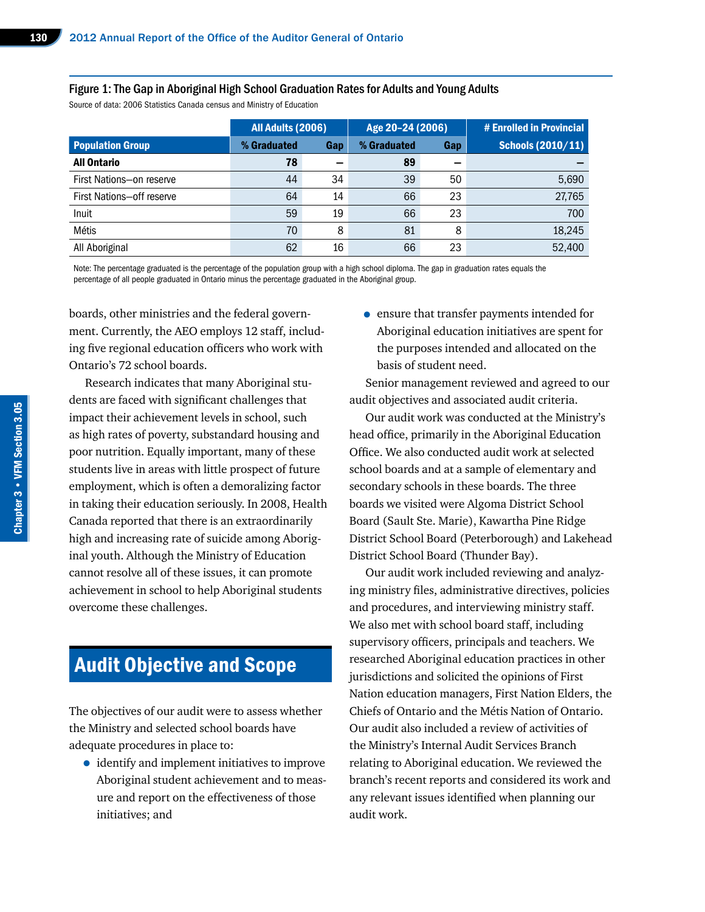#### Figure 1: The Gap in Aboriginal High School Graduation Rates for Adults and Young Adults

Source of data: 2006 Statistics Canada census and Ministry of Education

|                           | All Adults (2006) |     | Age 20-24 (2006) |     | # Enrolled in Provincial |
|---------------------------|-------------------|-----|------------------|-----|--------------------------|
| <b>Population Group</b>   | % Graduated       | Gap | % Graduated      | Gap | <b>Schools (2010/11)</b> |
| <b>All Ontario</b>        | 78                |     | 89               |     |                          |
| First Nations-on reserve  | 44                | 34  | 39               | 50  | 5,690                    |
| First Nations-off reserve | 64                | 14  | 66               | 23  | 27,765                   |
| Inuit                     | 59                | 19  | 66               | 23  | 700                      |
| Métis                     | 70                | 8   | 81               | 8   | 18,245                   |
| All Aboriginal            | 62                | 16  | 66               | 23  | 52,400                   |

Note: The percentage graduated is the percentage of the population group with a high school diploma. The gap in graduation rates equals the percentage of all people graduated in Ontario minus the percentage graduated in the Aboriginal group.

boards, other ministries and the federal government. Currently, the AEO employs 12 staff, including five regional education officers who work with Ontario's 72 school boards.

Research indicates that many Aboriginal students are faced with significant challenges that impact their achievement levels in school, such as high rates of poverty, substandard housing and poor nutrition. Equally important, many of these students live in areas with little prospect of future employment, which is often a demoralizing factor in taking their education seriously. In 2008, Health Canada reported that there is an extraordinarily high and increasing rate of suicide among Aboriginal youth. Although the Ministry of Education cannot resolve all of these issues, it can promote achievement in school to help Aboriginal students overcome these challenges.

# Audit Objective and Scope

The objectives of our audit were to assess whether the Ministry and selected school boards have adequate procedures in place to:

• identify and implement initiatives to improve Aboriginal student achievement and to measure and report on the effectiveness of those initiatives; and

• ensure that transfer payments intended for Aboriginal education initiatives are spent for the purposes intended and allocated on the basis of student need.

Senior management reviewed and agreed to our audit objectives and associated audit criteria.

Our audit work was conducted at the Ministry's head office, primarily in the Aboriginal Education Office. We also conducted audit work at selected school boards and at a sample of elementary and secondary schools in these boards. The three boards we visited were Algoma District School Board (Sault Ste. Marie), Kawartha Pine Ridge District School Board (Peterborough) and Lakehead District School Board (Thunder Bay).

Our audit work included reviewing and analyzing ministry files, administrative directives, policies and procedures, and interviewing ministry staff. We also met with school board staff, including supervisory officers, principals and teachers. We researched Aboriginal education practices in other jurisdictions and solicited the opinions of First Nation education managers, First Nation Elders, the Chiefs of Ontario and the Métis Nation of Ontario. Our audit also included a review of activities of the Ministry's Internal Audit Services Branch relating to Aboriginal education. We reviewed the branch's recent reports and considered its work and any relevant issues identified when planning our audit work.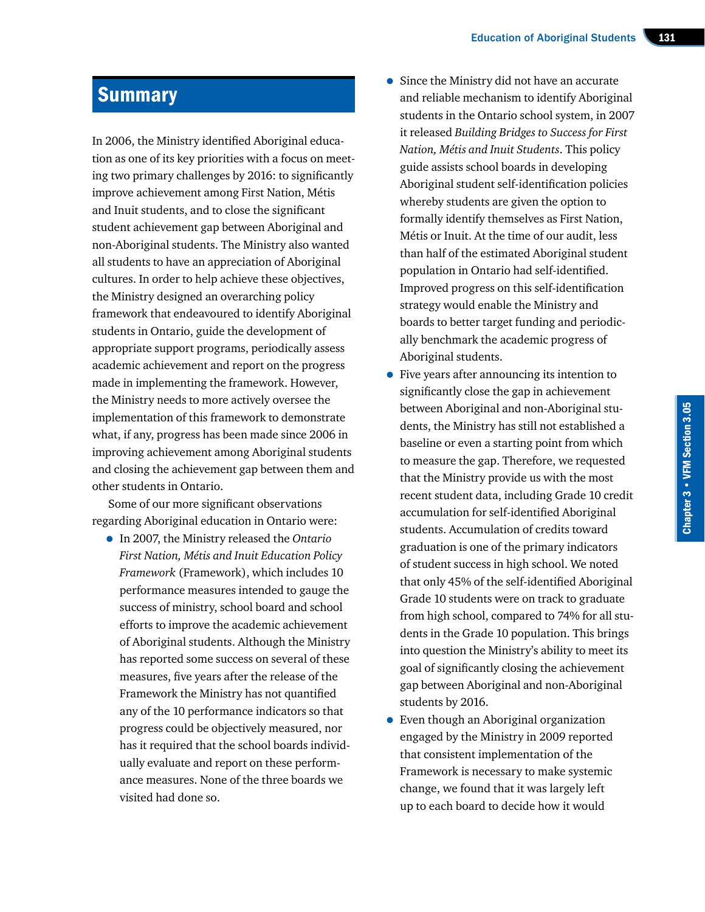# **Summary**

In 2006, the Ministry identified Aboriginal education as one of its key priorities with a focus on meeting two primary challenges by 2016: to significantly improve achievement among First Nation, Métis and Inuit students, and to close the significant student achievement gap between Aboriginal and non-Aboriginal students. The Ministry also wanted all students to have an appreciation of Aboriginal cultures. In order to help achieve these objectives, the Ministry designed an overarching policy framework that endeavoured to identify Aboriginal students in Ontario, guide the development of appropriate support programs, periodically assess academic achievement and report on the progress made in implementing the framework. However, the Ministry needs to more actively oversee the implementation of this framework to demonstrate what, if any, progress has been made since 2006 in improving achievement among Aboriginal students and closing the achievement gap between them and other students in Ontario.

Some of our more significant observations regarding Aboriginal education in Ontario were:

• In 2007, the Ministry released the *Ontario First Nation, Métis and Inuit Education Policy Framework* (Framework), which includes 10 performance measures intended to gauge the success of ministry, school board and school efforts to improve the academic achievement of Aboriginal students. Although the Ministry has reported some success on several of these measures, five years after the release of the Framework the Ministry has not quantified any of the 10 performance indicators so that progress could be objectively measured, nor has it required that the school boards individually evaluate and report on these performance measures. None of the three boards we visited had done so.

- Since the Ministry did not have an accurate and reliable mechanism to identify Aboriginal students in the Ontario school system, in 2007 it released *Building Bridges to Success for First Nation, Métis and Inuit Students*. This policy guide assists school boards in developing Aboriginal student self-identification policies whereby students are given the option to formally identify themselves as First Nation, Métis or Inuit. At the time of our audit, less than half of the estimated Aboriginal student population in Ontario had self-identified. Improved progress on this self-identification strategy would enable the Ministry and boards to better target funding and periodically benchmark the academic progress of Aboriginal students.
- Five years after announcing its intention to significantly close the gap in achievement between Aboriginal and non-Aboriginal students, the Ministry has still not established a baseline or even a starting point from which to measure the gap. Therefore, we requested that the Ministry provide us with the most recent student data, including Grade 10 credit accumulation for self-identified Aboriginal students. Accumulation of credits toward graduation is one of the primary indicators of student success in high school. We noted that only 45% of the self-identified Aboriginal Grade 10 students were on track to graduate from high school, compared to 74% for all students in the Grade 10 population. This brings into question the Ministry's ability to meet its goal of significantly closing the achievement gap between Aboriginal and non-Aboriginal students by 2016.
- Even though an Aboriginal organization engaged by the Ministry in 2009 reported that consistent implementation of the Framework is necessary to make systemic change, we found that it was largely left up to each board to decide how it would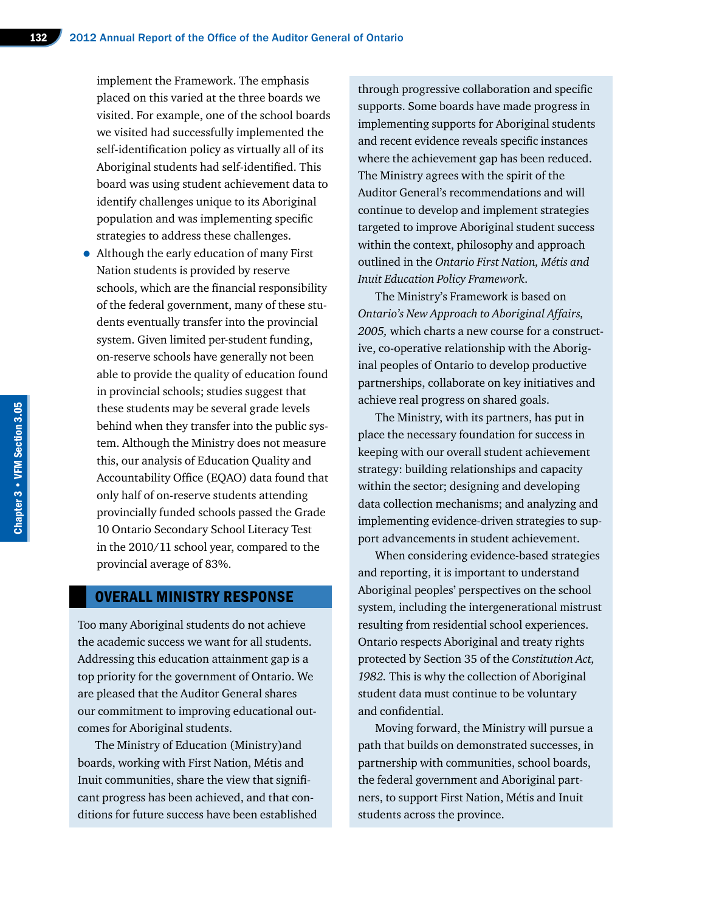implement the Framework. The emphasis placed on this varied at the three boards we visited. For example, one of the school boards we visited had successfully implemented the self-identification policy as virtually all of its Aboriginal students had self-identified. This board was using student achievement data to identify challenges unique to its Aboriginal population and was implementing specific strategies to address these challenges.

• Although the early education of many First Nation students is provided by reserve schools, which are the financial responsibility of the federal government, many of these students eventually transfer into the provincial system. Given limited per-student funding, on-reserve schools have generally not been able to provide the quality of education found in provincial schools; studies suggest that these students may be several grade levels behind when they transfer into the public system. Although the Ministry does not measure this, our analysis of Education Quality and Accountability Office (EQAO) data found that only half of on-reserve students attending provincially funded schools passed the Grade 10 Ontario Secondary School Literacy Test in the 2010/11 school year, compared to the provincial average of 83%.

#### OVERALL MINISTRY RESPONSE

Too many Aboriginal students do not achieve the academic success we want for all students. Addressing this education attainment gap is a top priority for the government of Ontario. We are pleased that the Auditor General shares our commitment to improving educational outcomes for Aboriginal students.

The Ministry of Education (Ministry)and boards, working with First Nation, Métis and Inuit communities, share the view that significant progress has been achieved, and that conditions for future success have been established

through progressive collaboration and specific supports. Some boards have made progress in implementing supports for Aboriginal students and recent evidence reveals specific instances where the achievement gap has been reduced. The Ministry agrees with the spirit of the Auditor General's recommendations and will continue to develop and implement strategies targeted to improve Aboriginal student success within the context, philosophy and approach outlined in the *Ontario First Nation, Métis and Inuit Education Policy Framework*.

The Ministry's Framework is based on *Ontario's New Approach to Aboriginal Affairs, 2005,* which charts a new course for a constructive, co-operative relationship with the Aboriginal peoples of Ontario to develop productive partnerships, collaborate on key initiatives and achieve real progress on shared goals.

The Ministry, with its partners, has put in place the necessary foundation for success in keeping with our overall student achievement strategy: building relationships and capacity within the sector; designing and developing data collection mechanisms; and analyzing and implementing evidence-driven strategies to support advancements in student achievement.

When considering evidence-based strategies and reporting, it is important to understand Aboriginal peoples' perspectives on the school system, including the intergenerational mistrust resulting from residential school experiences. Ontario respects Aboriginal and treaty rights protected by Section 35 of the *Constitution Act, 1982.* This is why the collection of Aboriginal student data must continue to be voluntary and confidential.

Moving forward, the Ministry will pursue a path that builds on demonstrated successes, in partnership with communities, school boards, the federal government and Aboriginal partners, to support First Nation, Métis and Inuit students across the province.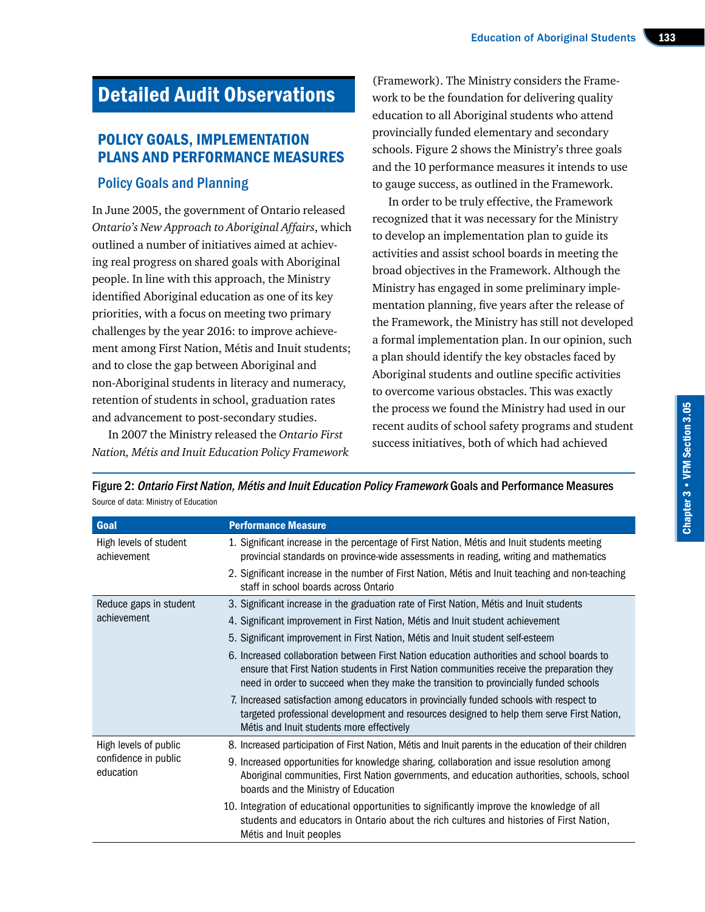# Detailed Audit Observations

## POLICY GOALS, IMPLEMENTATION PLANS AND PERFORMANCE MEASURES

#### Policy Goals and Planning

In June 2005, the government of Ontario released *Ontario's New Approach to Aboriginal Affairs*, which outlined a number of initiatives aimed at achieving real progress on shared goals with Aboriginal people. In line with this approach, the Ministry identified Aboriginal education as one of its key priorities, with a focus on meeting two primary challenges by the year 2016: to improve achievement among First Nation, Métis and Inuit students; and to close the gap between Aboriginal and non-Aboriginal students in literacy and numeracy, retention of students in school, graduation rates and advancement to post-secondary studies.

In 2007 the Ministry released the *Ontario First Nation, Métis and Inuit Education Policy Framework* 

(Framework). The Ministry considers the Framework to be the foundation for delivering quality education to all Aboriginal students who attend provincially funded elementary and secondary schools. Figure 2 shows the Ministry's three goals and the 10 performance measures it intends to use to gauge success, as outlined in the Framework.

In order to be truly effective, the Framework recognized that it was necessary for the Ministry to develop an implementation plan to guide its activities and assist school boards in meeting the broad objectives in the Framework. Although the Ministry has engaged in some preliminary implementation planning, five years after the release of the Framework, the Ministry has still not developed a formal implementation plan. In our opinion, such a plan should identify the key obstacles faced by Aboriginal students and outline specific activities to overcome various obstacles. This was exactly the process we found the Ministry had used in our recent audits of school safety programs and student success initiatives, both of which had achieved

Figure 2: Ontario First Nation, Métis and Inuit Education Policy Framework Goals and Performance Measures Source of data: Ministry of Education

| Goal                                  | <b>Performance Measure</b>                                                                                                                                                                                                                                                        |  |  |  |
|---------------------------------------|-----------------------------------------------------------------------------------------------------------------------------------------------------------------------------------------------------------------------------------------------------------------------------------|--|--|--|
| High levels of student<br>achievement | 1. Significant increase in the percentage of First Nation, Métis and Inuit students meeting<br>provincial standards on province-wide assessments in reading, writing and mathematics                                                                                              |  |  |  |
|                                       | 2. Significant increase in the number of First Nation, Métis and Inuit teaching and non-teaching<br>staff in school boards across Ontario                                                                                                                                         |  |  |  |
| Reduce gaps in student                | 3. Significant increase in the graduation rate of First Nation, Métis and Inuit students                                                                                                                                                                                          |  |  |  |
| achievement                           | 4. Significant improvement in First Nation, Métis and Inuit student achievement                                                                                                                                                                                                   |  |  |  |
|                                       | 5. Significant improvement in First Nation, Métis and Inuit student self-esteem                                                                                                                                                                                                   |  |  |  |
|                                       | 6. Increased collaboration between First Nation education authorities and school boards to<br>ensure that First Nation students in First Nation communities receive the preparation they<br>need in order to succeed when they make the transition to provincially funded schools |  |  |  |
|                                       | 7. Increased satisfaction among educators in provincially funded schools with respect to<br>targeted professional development and resources designed to help them serve First Nation,<br>Métis and Inuit students more effectively                                                |  |  |  |
| High levels of public                 | 8. Increased participation of First Nation, Métis and Inuit parents in the education of their children                                                                                                                                                                            |  |  |  |
| confidence in public<br>education     | 9. Increased opportunities for knowledge sharing, collaboration and issue resolution among<br>Aboriginal communities, First Nation governments, and education authorities, schools, school<br>boards and the Ministry of Education                                                |  |  |  |
|                                       | 10. Integration of educational opportunities to significantly improve the knowledge of all<br>students and educators in Ontario about the rich cultures and histories of First Nation,<br>Métis and Inuit peoples                                                                 |  |  |  |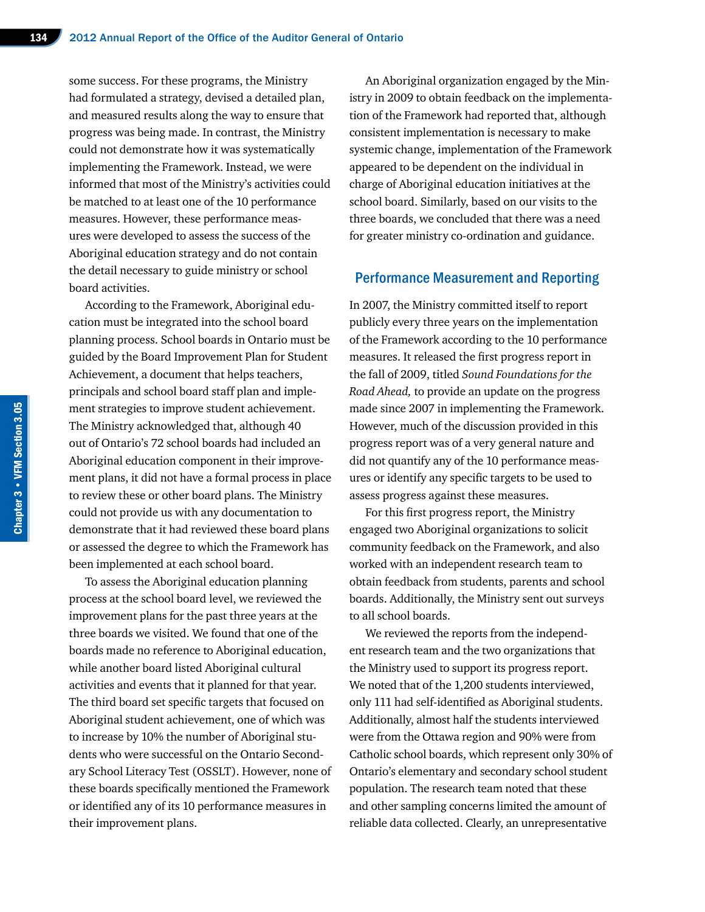some success. For these programs, the Ministry had formulated a strategy, devised a detailed plan, and measured results along the way to ensure that progress was being made. In contrast, the Ministry could not demonstrate how it was systematically implementing the Framework. Instead, we were informed that most of the Ministry's activities could be matched to at least one of the 10 performance measures. However, these performance measures were developed to assess the success of the Aboriginal education strategy and do not contain the detail necessary to guide ministry or school board activities.

According to the Framework, Aboriginal education must be integrated into the school board planning process. School boards in Ontario must be guided by the Board Improvement Plan for Student Achievement, a document that helps teachers, principals and school board staff plan and implement strategies to improve student achievement. The Ministry acknowledged that, although 40 out of Ontario's 72 school boards had included an Aboriginal education component in their improvement plans, it did not have a formal process in place to review these or other board plans. The Ministry could not provide us with any documentation to demonstrate that it had reviewed these board plans or assessed the degree to which the Framework has been implemented at each school board.

To assess the Aboriginal education planning process at the school board level, we reviewed the improvement plans for the past three years at the three boards we visited. We found that one of the boards made no reference to Aboriginal education, while another board listed Aboriginal cultural activities and events that it planned for that year. The third board set specific targets that focused on Aboriginal student achievement, one of which was to increase by 10% the number of Aboriginal students who were successful on the Ontario Secondary School Literacy Test (OSSLT). However, none of these boards specifically mentioned the Framework or identified any of its 10 performance measures in their improvement plans.

An Aboriginal organization engaged by the Ministry in 2009 to obtain feedback on the implementation of the Framework had reported that, although consistent implementation is necessary to make systemic change, implementation of the Framework appeared to be dependent on the individual in charge of Aboriginal education initiatives at the school board. Similarly, based on our visits to the three boards, we concluded that there was a need for greater ministry co-ordination and guidance.

#### Performance Measurement and Reporting

In 2007, the Ministry committed itself to report publicly every three years on the implementation of the Framework according to the 10 performance measures. It released the first progress report in the fall of 2009, titled *Sound Foundations for the Road Ahead,* to provide an update on the progress made since 2007 in implementing the Framework. However, much of the discussion provided in this progress report was of a very general nature and did not quantify any of the 10 performance measures or identify any specific targets to be used to assess progress against these measures.

For this first progress report, the Ministry engaged two Aboriginal organizations to solicit community feedback on the Framework, and also worked with an independent research team to obtain feedback from students, parents and school boards. Additionally, the Ministry sent out surveys to all school boards.

We reviewed the reports from the independent research team and the two organizations that the Ministry used to support its progress report. We noted that of the 1,200 students interviewed, only 111 had self-identified as Aboriginal students. Additionally, almost half the students interviewed were from the Ottawa region and 90% were from Catholic school boards, which represent only 30% of Ontario's elementary and secondary school student population. The research team noted that these and other sampling concerns limited the amount of reliable data collected. Clearly, an unrepresentative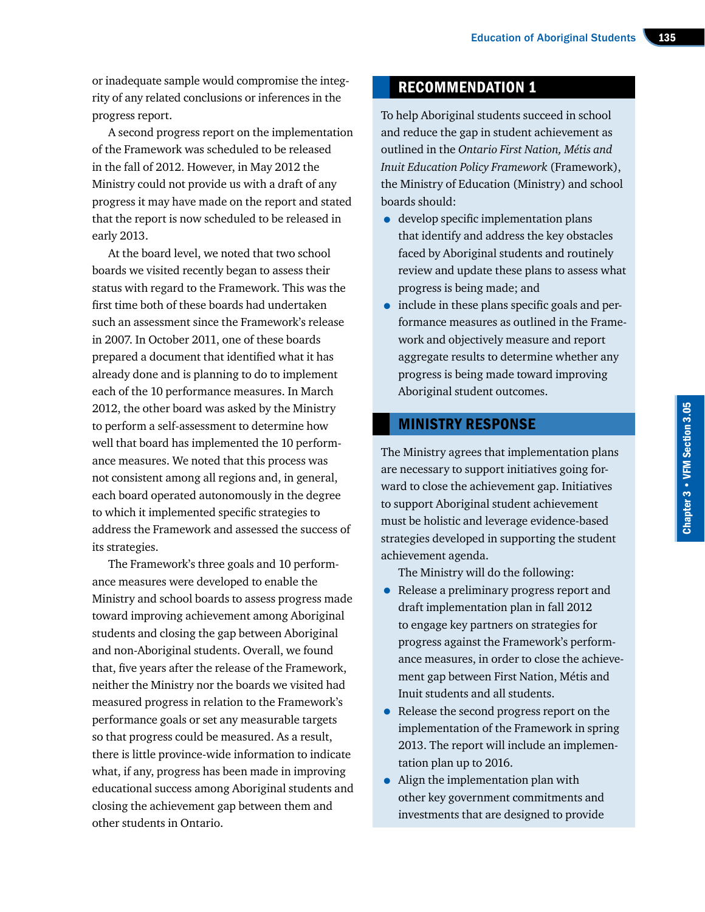or inadequate sample would compromise the integrity of any related conclusions or inferences in the progress report.

A second progress report on the implementation of the Framework was scheduled to be released in the fall of 2012. However, in May 2012 the Ministry could not provide us with a draft of any progress it may have made on the report and stated that the report is now scheduled to be released in early 2013.

At the board level, we noted that two school boards we visited recently began to assess their status with regard to the Framework. This was the first time both of these boards had undertaken such an assessment since the Framework's release in 2007. In October 2011, one of these boards prepared a document that identified what it has already done and is planning to do to implement each of the 10 performance measures. In March 2012, the other board was asked by the Ministry to perform a self-assessment to determine how well that board has implemented the 10 performance measures. We noted that this process was not consistent among all regions and, in general, each board operated autonomously in the degree to which it implemented specific strategies to address the Framework and assessed the success of its strategies.

The Framework's three goals and 10 performance measures were developed to enable the Ministry and school boards to assess progress made toward improving achievement among Aboriginal students and closing the gap between Aboriginal and non-Aboriginal students. Overall, we found that, five years after the release of the Framework, neither the Ministry nor the boards we visited had measured progress in relation to the Framework's performance goals or set any measurable targets so that progress could be measured. As a result, there is little province-wide information to indicate what, if any, progress has been made in improving educational success among Aboriginal students and closing the achievement gap between them and other students in Ontario.

# RECOMMENDATION 1

To help Aboriginal students succeed in school and reduce the gap in student achievement as outlined in the *Ontario First Nation, Métis and Inuit Education Policy Framework* (Framework), the Ministry of Education (Ministry) and school boards should:

- develop specific implementation plans that identify and address the key obstacles faced by Aboriginal students and routinely review and update these plans to assess what progress is being made; and
- include in these plans specific goals and performance measures as outlined in the Framework and objectively measure and report aggregate results to determine whether any progress is being made toward improving Aboriginal student outcomes.

#### MINISTRY RESPONSE

The Ministry agrees that implementation plans are necessary to support initiatives going forward to close the achievement gap. Initiatives to support Aboriginal student achievement must be holistic and leverage evidence-based strategies developed in supporting the student achievement agenda.

The Ministry will do the following:

- Release a preliminary progress report and draft implementation plan in fall 2012 to engage key partners on strategies for progress against the Framework's performance measures, in order to close the achievement gap between First Nation, Métis and Inuit students and all students.
- Release the second progress report on the implementation of the Framework in spring 2013. The report will include an implementation plan up to 2016.
- Align the implementation plan with other key government commitments and investments that are designed to provide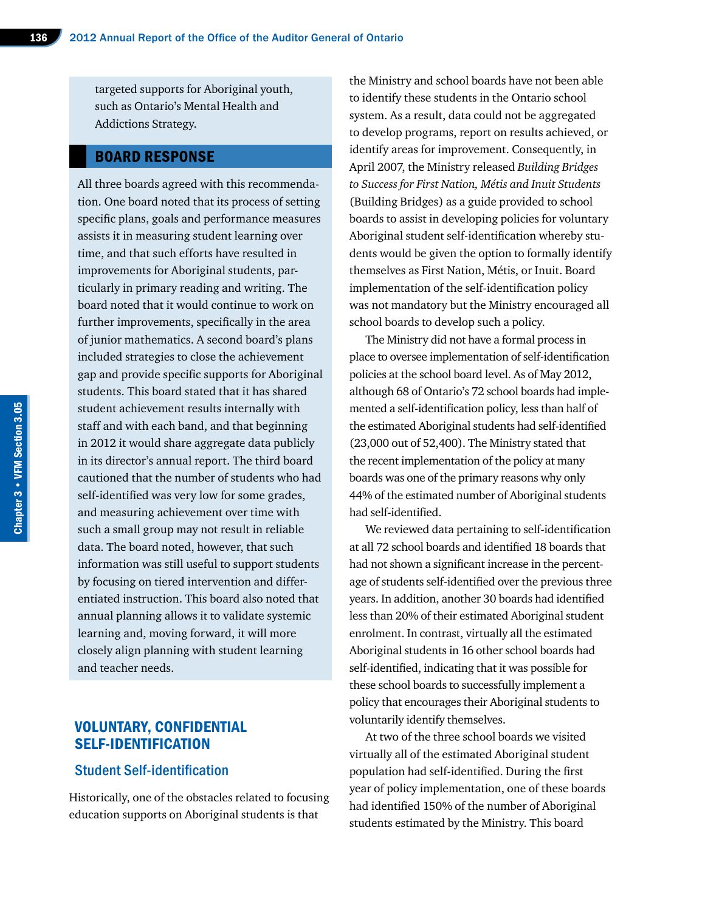targeted supports for Aboriginal youth, such as Ontario's Mental Health and Addictions Strategy.

#### BOARD RESPONSE

All three boards agreed with this recommendation. One board noted that its process of setting specific plans, goals and performance measures assists it in measuring student learning over time, and that such efforts have resulted in improvements for Aboriginal students, particularly in primary reading and writing. The board noted that it would continue to work on further improvements, specifically in the area of junior mathematics. A second board's plans included strategies to close the achievement gap and provide specific supports for Aboriginal students. This board stated that it has shared student achievement results internally with staff and with each band, and that beginning in 2012 it would share aggregate data publicly in its director's annual report. The third board cautioned that the number of students who had self-identified was very low for some grades, and measuring achievement over time with such a small group may not result in reliable data. The board noted, however, that such information was still useful to support students by focusing on tiered intervention and differentiated instruction. This board also noted that annual planning allows it to validate systemic learning and, moving forward, it will more closely align planning with student learning and teacher needs.

#### VOLUNTARY, CONFIDENTIAL SELF-IDENTIFICATION

#### Student Self-identification

Historically, one of the obstacles related to focusing education supports on Aboriginal students is that

the Ministry and school boards have not been able to identify these students in the Ontario school system. As a result, data could not be aggregated to develop programs, report on results achieved, or identify areas for improvement. Consequently, in April 2007, the Ministry released *Building Bridges to Success for First Nation, Métis and Inuit Students*  (Building Bridges) as a guide provided to school boards to assist in developing policies for voluntary Aboriginal student self-identification whereby students would be given the option to formally identify themselves as First Nation, Métis, or Inuit. Board implementation of the self-identification policy was not mandatory but the Ministry encouraged all school boards to develop such a policy.

The Ministry did not have a formal process in place to oversee implementation of self-identification policies at the school board level. As of May 2012, although 68 of Ontario's 72 school boards had implemented a self-identification policy, less than half of the estimated Aboriginal students had self-identified (23,000 out of 52,400). The Ministry stated that the recent implementation of the policy at many boards was one of the primary reasons why only 44% of the estimated number of Aboriginal students had self-identified.

We reviewed data pertaining to self-identification at all 72 school boards and identified 18 boards that had not shown a significant increase in the percentage of students self-identified over the previous three years. In addition, another 30 boards had identified less than 20% of their estimated Aboriginal student enrolment. In contrast, virtually all the estimated Aboriginal students in 16 other school boards had self-identified, indicating that it was possible for these school boards to successfully implement a policy that encourages their Aboriginal students to voluntarily identify themselves.

At two of the three school boards we visited virtually all of the estimated Aboriginal student population had self-identified. During the first year of policy implementation, one of these boards had identified 150% of the number of Aboriginal students estimated by the Ministry. This board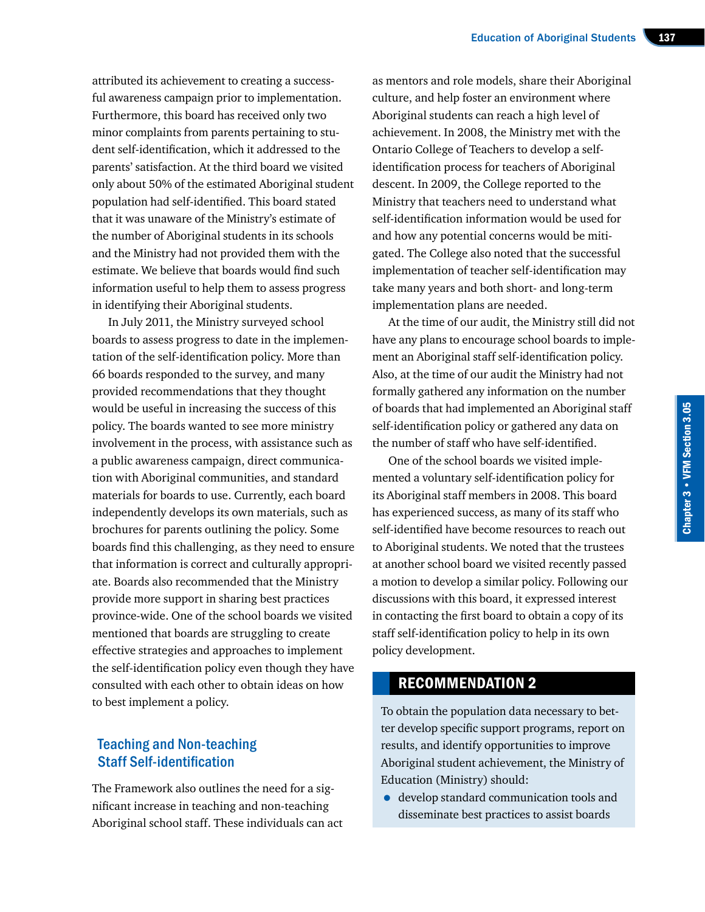attributed its achievement to creating a successful awareness campaign prior to implementation. Furthermore, this board has received only two minor complaints from parents pertaining to student self-identification, which it addressed to the parents' satisfaction. At the third board we visited only about 50% of the estimated Aboriginal student population had self-identified. This board stated that it was unaware of the Ministry's estimate of the number of Aboriginal students in its schools and the Ministry had not provided them with the estimate. We believe that boards would find such information useful to help them to assess progress in identifying their Aboriginal students.

In July 2011, the Ministry surveyed school boards to assess progress to date in the implementation of the self-identification policy. More than 66 boards responded to the survey, and many provided recommendations that they thought would be useful in increasing the success of this policy. The boards wanted to see more ministry involvement in the process, with assistance such as a public awareness campaign, direct communication with Aboriginal communities, and standard materials for boards to use. Currently, each board independently develops its own materials, such as brochures for parents outlining the policy. Some boards find this challenging, as they need to ensure that information is correct and culturally appropriate. Boards also recommended that the Ministry provide more support in sharing best practices province-wide. One of the school boards we visited mentioned that boards are struggling to create effective strategies and approaches to implement the self-identification policy even though they have consulted with each other to obtain ideas on how to best implement a policy.

#### Teaching and Non-teaching Staff Self-identification

The Framework also outlines the need for a significant increase in teaching and non-teaching Aboriginal school staff. These individuals can act

as mentors and role models, share their Aboriginal culture, and help foster an environment where Aboriginal students can reach a high level of achievement. In 2008, the Ministry met with the Ontario College of Teachers to develop a selfidentification process for teachers of Aboriginal descent. In 2009, the College reported to the Ministry that teachers need to understand what self-identification information would be used for and how any potential concerns would be mitigated. The College also noted that the successful implementation of teacher self-identification may take many years and both short- and long-term implementation plans are needed.

At the time of our audit, the Ministry still did not have any plans to encourage school boards to implement an Aboriginal staff self-identification policy. Also, at the time of our audit the Ministry had not formally gathered any information on the number of boards that had implemented an Aboriginal staff self-identification policy or gathered any data on the number of staff who have self-identified.

One of the school boards we visited implemented a voluntary self-identification policy for its Aboriginal staff members in 2008. This board has experienced success, as many of its staff who self-identified have become resources to reach out to Aboriginal students. We noted that the trustees at another school board we visited recently passed a motion to develop a similar policy. Following our discussions with this board, it expressed interest in contacting the first board to obtain a copy of its staff self-identification policy to help in its own policy development.

#### RECOMMENDATION 2

To obtain the population data necessary to better develop specific support programs, report on results, and identify opportunities to improve Aboriginal student achievement, the Ministry of Education (Ministry) should:

• develop standard communication tools and disseminate best practices to assist boards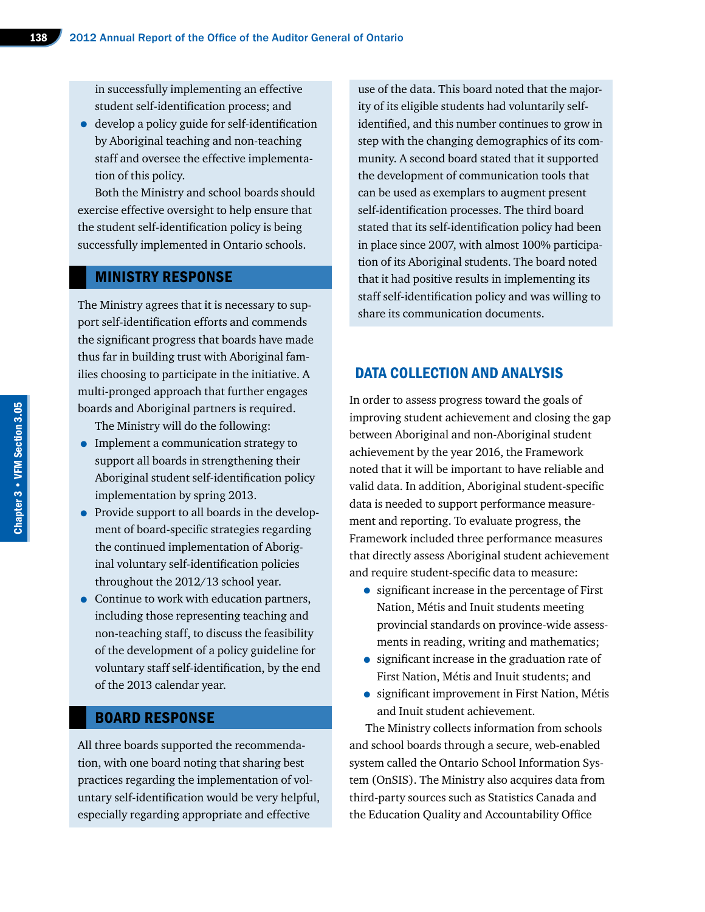in successfully implementing an effective student self-identification process; and

• develop a policy guide for self-identification by Aboriginal teaching and non-teaching staff and oversee the effective implementation of this policy.

Both the Ministry and school boards should exercise effective oversight to help ensure that the student self-identification policy is being successfully implemented in Ontario schools.

#### MINISTRY RESPONSE

The Ministry agrees that it is necessary to support self-identification efforts and commends the significant progress that boards have made thus far in building trust with Aboriginal families choosing to participate in the initiative. A multi-pronged approach that further engages boards and Aboriginal partners is required.

The Ministry will do the following:

- Implement a communication strategy to support all boards in strengthening their Aboriginal student self-identification policy implementation by spring 2013.
- Provide support to all boards in the development of board-specific strategies regarding the continued implementation of Aboriginal voluntary self-identification policies throughout the 2012/13 school year.
- Continue to work with education partners, including those representing teaching and non-teaching staff, to discuss the feasibility of the development of a policy guideline for voluntary staff self-identification, by the end of the 2013 calendar year.

#### BOARD RESPONSE

All three boards supported the recommendation, with one board noting that sharing best practices regarding the implementation of voluntary self-identification would be very helpful, especially regarding appropriate and effective

use of the data. This board noted that the majority of its eligible students had voluntarily selfidentified, and this number continues to grow in step with the changing demographics of its community. A second board stated that it supported the development of communication tools that can be used as exemplars to augment present self-identification processes. The third board stated that its self-identification policy had been in place since 2007, with almost 100% participation of its Aboriginal students. The board noted that it had positive results in implementing its staff self-identification policy and was willing to share its communication documents.

## DATA COLLECTION AND ANALYSIS

In order to assess progress toward the goals of improving student achievement and closing the gap between Aboriginal and non-Aboriginal student achievement by the year 2016, the Framework noted that it will be important to have reliable and valid data. In addition, Aboriginal student-specific data is needed to support performance measurement and reporting. To evaluate progress, the Framework included three performance measures that directly assess Aboriginal student achievement and require student-specific data to measure:

- significant increase in the percentage of First Nation, Métis and Inuit students meeting provincial standards on province-wide assessments in reading, writing and mathematics;
- significant increase in the graduation rate of First Nation, Métis and Inuit students; and
- significant improvement in First Nation, Métis and Inuit student achievement.

The Ministry collects information from schools and school boards through a secure, web-enabled system called the Ontario School Information System (OnSIS). The Ministry also acquires data from third-party sources such as Statistics Canada and the Education Quality and Accountability Office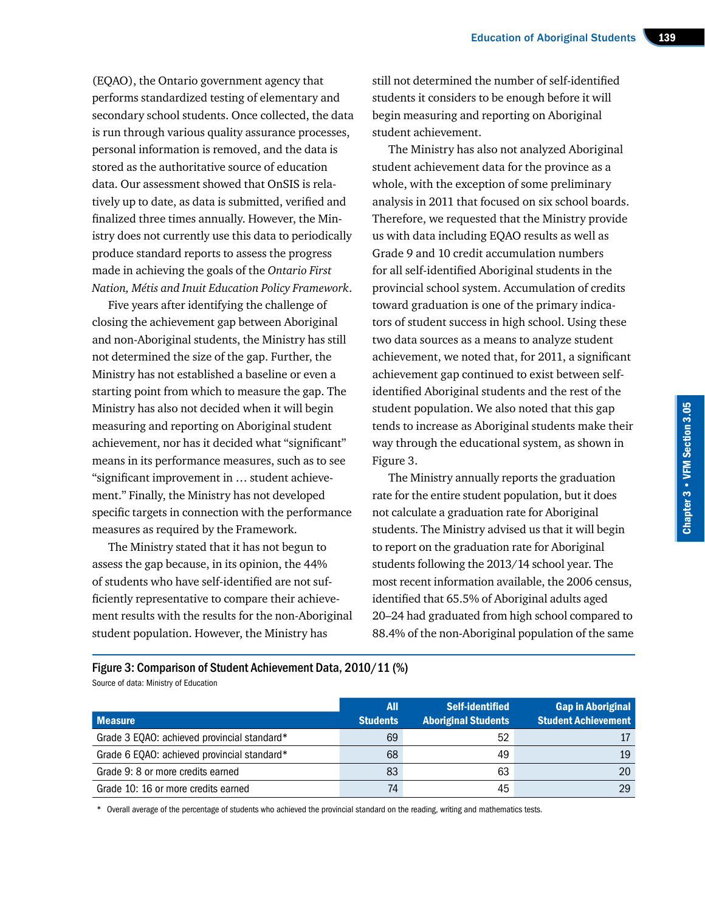(EQAO), the Ontario government agency that performs standardized testing of elementary and secondary school students. Once collected, the data is run through various quality assurance processes, personal information is removed, and the data is stored as the authoritative source of education data. Our assessment showed that OnSIS is relatively up to date, as data is submitted, verified and finalized three times annually. However, the Ministry does not currently use this data to periodically produce standard reports to assess the progress made in achieving the goals of the *Ontario First Nation, Métis and Inuit Education Policy Framework*.

Five years after identifying the challenge of closing the achievement gap between Aboriginal and non-Aboriginal students, the Ministry has still not determined the size of the gap. Further, the Ministry has not established a baseline or even a starting point from which to measure the gap. The Ministry has also not decided when it will begin measuring and reporting on Aboriginal student achievement, nor has it decided what "significant" means in its performance measures, such as to see "significant improvement in … student achievement." Finally, the Ministry has not developed specific targets in connection with the performance measures as required by the Framework.

The Ministry stated that it has not begun to assess the gap because, in its opinion, the 44% of students who have self-identified are not sufficiently representative to compare their achievement results with the results for the non-Aboriginal student population. However, the Ministry has

still not determined the number of self-identified students it considers to be enough before it will begin measuring and reporting on Aboriginal student achievement.

The Ministry has also not analyzed Aboriginal student achievement data for the province as a whole, with the exception of some preliminary analysis in 2011 that focused on six school boards. Therefore, we requested that the Ministry provide us with data including EQAO results as well as Grade 9 and 10 credit accumulation numbers for all self-identified Aboriginal students in the provincial school system. Accumulation of credits toward graduation is one of the primary indicators of student success in high school. Using these two data sources as a means to analyze student achievement, we noted that, for 2011, a significant achievement gap continued to exist between selfidentified Aboriginal students and the rest of the student population. We also noted that this gap tends to increase as Aboriginal students make their way through the educational system, as shown in Figure 3.

The Ministry annually reports the graduation rate for the entire student population, but it does not calculate a graduation rate for Aboriginal students. The Ministry advised us that it will begin to report on the graduation rate for Aboriginal students following the 2013/14 school year. The most recent information available, the 2006 census, identified that 65.5% of Aboriginal adults aged 20–24 had graduated from high school compared to 88.4% of the non-Aboriginal population of the same

Figure 3: Comparison of Student Achievement Data, 2010/11 (%) Source of data: Ministry of Education

| <b>Measure</b>                              | <b>All</b><br><b>Students</b> | <b>Self-identified</b><br><b>Aboriginal Students</b> | <b>Gap in Aboriginal</b><br><b>Student Achievement</b> |
|---------------------------------------------|-------------------------------|------------------------------------------------------|--------------------------------------------------------|
| Grade 3 EQAO: achieved provincial standard* | 69                            | 52                                                   |                                                        |
| Grade 6 EQAO: achieved provincial standard* | 68                            | 49                                                   | 19                                                     |
| Grade 9: 8 or more credits earned           | 83                            | 63                                                   | 20                                                     |
| Grade 10: 16 or more credits earned         | 74                            | 45                                                   | 29                                                     |

\* Overall average of the percentage of students who achieved the provincial standard on the reading, writing and mathematics tests.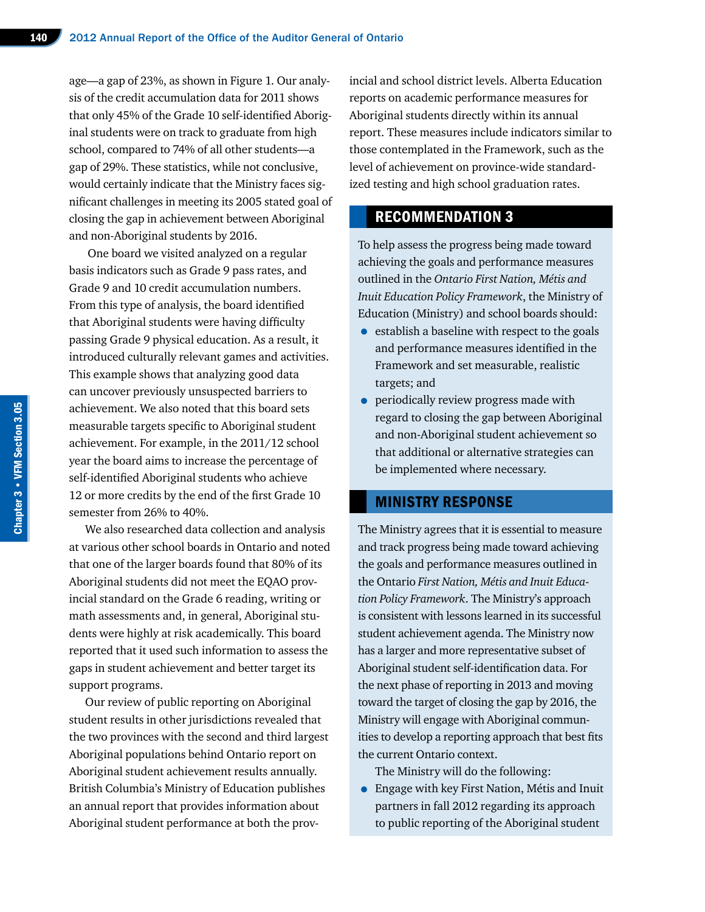age—a gap of 23%, as shown in Figure 1. Our analysis of the credit accumulation data for 2011 shows that only 45% of the Grade 10 self-identified Aboriginal students were on track to graduate from high school, compared to 74% of all other students—a gap of 29%. These statistics, while not conclusive, would certainly indicate that the Ministry faces significant challenges in meeting its 2005 stated goal of closing the gap in achievement between Aboriginal and non-Aboriginal students by 2016.

 One board we visited analyzed on a regular basis indicators such as Grade 9 pass rates, and Grade 9 and 10 credit accumulation numbers. From this type of analysis, the board identified that Aboriginal students were having difficulty passing Grade 9 physical education. As a result, it introduced culturally relevant games and activities. This example shows that analyzing good data can uncover previously unsuspected barriers to achievement. We also noted that this board sets measurable targets specific to Aboriginal student achievement. For example, in the 2011/12 school year the board aims to increase the percentage of self-identified Aboriginal students who achieve 12 or more credits by the end of the first Grade 10 semester from 26% to 40%.

We also researched data collection and analysis at various other school boards in Ontario and noted that one of the larger boards found that 80% of its Aboriginal students did not meet the EQAO provincial standard on the Grade 6 reading, writing or math assessments and, in general, Aboriginal students were highly at risk academically. This board reported that it used such information to assess the gaps in student achievement and better target its support programs.

Our review of public reporting on Aboriginal student results in other jurisdictions revealed that the two provinces with the second and third largest Aboriginal populations behind Ontario report on Aboriginal student achievement results annually. British Columbia's Ministry of Education publishes an annual report that provides information about Aboriginal student performance at both the provincial and school district levels. Alberta Education reports on academic performance measures for Aboriginal students directly within its annual report. These measures include indicators similar to those contemplated in the Framework, such as the level of achievement on province-wide standardized testing and high school graduation rates.

#### RECOMMENDATION 3

To help assess the progress being made toward achieving the goals and performance measures outlined in the *Ontario First Nation, Métis and Inuit Education Policy Framework*, the Ministry of Education (Ministry) and school boards should:

- establish a baseline with respect to the goals and performance measures identified in the Framework and set measurable, realistic targets; and
- periodically review progress made with regard to closing the gap between Aboriginal and non-Aboriginal student achievement so that additional or alternative strategies can be implemented where necessary.

#### MINISTRY RESPONSE

The Ministry agrees that it is essential to measure and track progress being made toward achieving the goals and performance measures outlined in the Ontario *First Nation, Métis and Inuit Education Policy Framework*. The Ministry's approach is consistent with lessons learned in its successful student achievement agenda. The Ministry now has a larger and more representative subset of Aboriginal student self-identification data. For the next phase of reporting in 2013 and moving toward the target of closing the gap by 2016, the Ministry will engage with Aboriginal communities to develop a reporting approach that best fits the current Ontario context.

The Ministry will do the following:

• Engage with key First Nation, Métis and Inuit partners in fall 2012 regarding its approach to public reporting of the Aboriginal student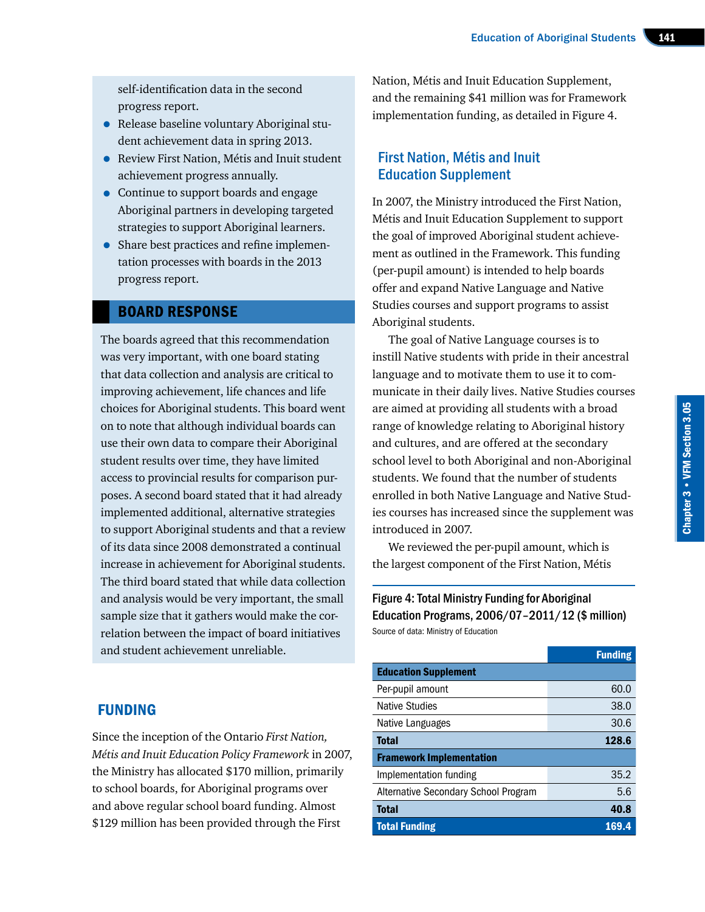self-identification data in the second progress report.

- Release baseline voluntary Aboriginal student achievement data in spring 2013.
- Review First Nation, Métis and Inuit student achievement progress annually.
- Continue to support boards and engage Aboriginal partners in developing targeted strategies to support Aboriginal learners.
- Share best practices and refine implementation processes with boards in the 2013 progress report.

#### BOARD RESPONSE

The boards agreed that this recommendation was very important, with one board stating that data collection and analysis are critical to improving achievement, life chances and life choices for Aboriginal students. This board went on to note that although individual boards can use their own data to compare their Aboriginal student results over time, they have limited access to provincial results for comparison purposes. A second board stated that it had already implemented additional, alternative strategies to support Aboriginal students and that a review of its data since 2008 demonstrated a continual increase in achievement for Aboriginal students. The third board stated that while data collection and analysis would be very important, the small sample size that it gathers would make the correlation between the impact of board initiatives and student achievement unreliable.

Nation, Métis and Inuit Education Supplement, and the remaining \$41 million was for Framework implementation funding, as detailed in Figure 4.

## First Nation, Métis and Inuit Education Supplement

In 2007, the Ministry introduced the First Nation, Métis and Inuit Education Supplement to support the goal of improved Aboriginal student achievement as outlined in the Framework. This funding (per-pupil amount) is intended to help boards offer and expand Native Language and Native Studies courses and support programs to assist Aboriginal students.

The goal of Native Language courses is to instill Native students with pride in their ancestral language and to motivate them to use it to communicate in their daily lives. Native Studies courses are aimed at providing all students with a broad range of knowledge relating to Aboriginal history and cultures, and are offered at the secondary school level to both Aboriginal and non-Aboriginal students. We found that the number of students enrolled in both Native Language and Native Studies courses has increased since the supplement was introduced in 2007.

We reviewed the per-pupil amount, which is the largest component of the First Nation, Métis

Figure 4: Total Ministry Funding for Aboriginal Education Programs, 2006/07–2011/12 (\$ million) Source of data: Ministry of Education

|                                      | <b>Funding</b> |
|--------------------------------------|----------------|
| <b>Education Supplement</b>          |                |
| Per-pupil amount                     | 60.0           |
| Native Studies                       | 38.0           |
| Native Languages                     | 30.6           |
| <b>Total</b>                         | 128.6          |
| <b>Framework Implementation</b>      |                |
| Implementation funding               | 35.2           |
| Alternative Secondary School Program | 5.6            |
| <b>Total</b>                         | 40.8           |
| <b>Total Funding</b>                 | 169.4          |

## FUNDING

Since the inception of the Ontario *First Nation, Métis and Inuit Education Policy Framework* in 2007, the Ministry has allocated \$170 million, primarily to school boards, for Aboriginal programs over and above regular school board funding. Almost \$129 million has been provided through the First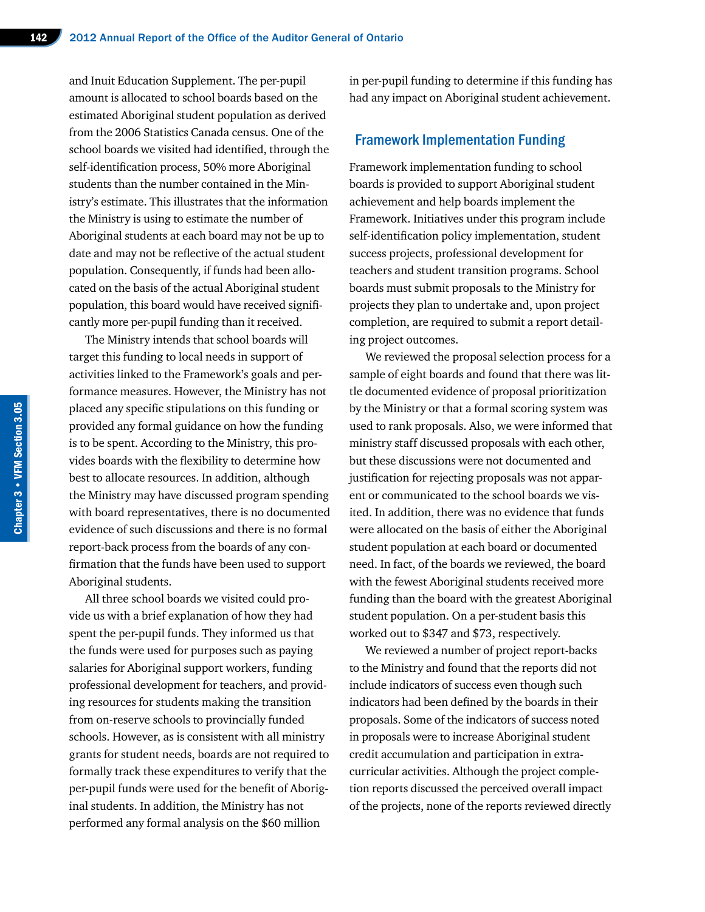and Inuit Education Supplement. The per-pupil amount is allocated to school boards based on the estimated Aboriginal student population as derived from the 2006 Statistics Canada census. One of the school boards we visited had identified, through the self-identification process, 50% more Aboriginal students than the number contained in the Ministry's estimate. This illustrates that the information the Ministry is using to estimate the number of Aboriginal students at each board may not be up to date and may not be reflective of the actual student population. Consequently, if funds had been allocated on the basis of the actual Aboriginal student population, this board would have received significantly more per-pupil funding than it received.

The Ministry intends that school boards will target this funding to local needs in support of activities linked to the Framework's goals and performance measures. However, the Ministry has not placed any specific stipulations on this funding or provided any formal guidance on how the funding is to be spent. According to the Ministry, this provides boards with the flexibility to determine how best to allocate resources. In addition, although the Ministry may have discussed program spending with board representatives, there is no documented evidence of such discussions and there is no formal report-back process from the boards of any confirmation that the funds have been used to support Aboriginal students.

All three school boards we visited could provide us with a brief explanation of how they had spent the per-pupil funds. They informed us that the funds were used for purposes such as paying salaries for Aboriginal support workers, funding professional development for teachers, and providing resources for students making the transition from on-reserve schools to provincially funded schools. However, as is consistent with all ministry grants for student needs, boards are not required to formally track these expenditures to verify that the per-pupil funds were used for the benefit of Aboriginal students. In addition, the Ministry has not performed any formal analysis on the \$60 million

in per-pupil funding to determine if this funding has had any impact on Aboriginal student achievement.

#### Framework Implementation Funding

Framework implementation funding to school boards is provided to support Aboriginal student achievement and help boards implement the Framework. Initiatives under this program include self-identification policy implementation, student success projects, professional development for teachers and student transition programs. School boards must submit proposals to the Ministry for projects they plan to undertake and, upon project completion, are required to submit a report detailing project outcomes.

We reviewed the proposal selection process for a sample of eight boards and found that there was little documented evidence of proposal prioritization by the Ministry or that a formal scoring system was used to rank proposals. Also, we were informed that ministry staff discussed proposals with each other, but these discussions were not documented and justification for rejecting proposals was not apparent or communicated to the school boards we visited. In addition, there was no evidence that funds were allocated on the basis of either the Aboriginal student population at each board or documented need. In fact, of the boards we reviewed, the board with the fewest Aboriginal students received more funding than the board with the greatest Aboriginal student population. On a per-student basis this worked out to \$347 and \$73, respectively.

We reviewed a number of project report-backs to the Ministry and found that the reports did not include indicators of success even though such indicators had been defined by the boards in their proposals. Some of the indicators of success noted in proposals were to increase Aboriginal student credit accumulation and participation in extracurricular activities. Although the project completion reports discussed the perceived overall impact of the projects, none of the reports reviewed directly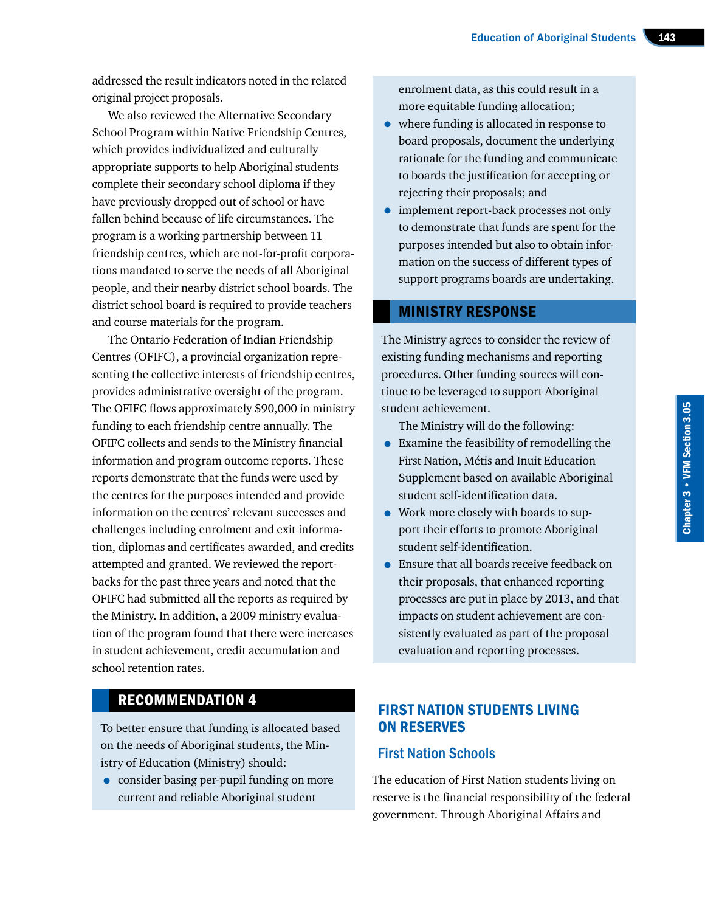addressed the result indicators noted in the related original project proposals.

We also reviewed the Alternative Secondary School Program within Native Friendship Centres, which provides individualized and culturally appropriate supports to help Aboriginal students complete their secondary school diploma if they have previously dropped out of school or have fallen behind because of life circumstances. The program is a working partnership between 11 friendship centres, which are not-for-profit corporations mandated to serve the needs of all Aboriginal people, and their nearby district school boards. The district school board is required to provide teachers and course materials for the program.

The Ontario Federation of Indian Friendship Centres (OFIFC), a provincial organization representing the collective interests of friendship centres, provides administrative oversight of the program. The OFIFC flows approximately \$90,000 in ministry funding to each friendship centre annually. The OFIFC collects and sends to the Ministry financial information and program outcome reports. These reports demonstrate that the funds were used by the centres for the purposes intended and provide information on the centres' relevant successes and challenges including enrolment and exit information, diplomas and certificates awarded, and credits attempted and granted. We reviewed the reportbacks for the past three years and noted that the OFIFC had submitted all the reports as required by the Ministry. In addition, a 2009 ministry evaluation of the program found that there were increases in student achievement, credit accumulation and school retention rates.

# RECOMMENDATION 4

To better ensure that funding is allocated based on the needs of Aboriginal students, the Ministry of Education (Ministry) should:

• consider basing per-pupil funding on more current and reliable Aboriginal student

enrolment data, as this could result in a more equitable funding allocation;

- where funding is allocated in response to board proposals, document the underlying rationale for the funding and communicate to boards the justification for accepting or rejecting their proposals; and
- implement report-back processes not only to demonstrate that funds are spent for the purposes intended but also to obtain information on the success of different types of support programs boards are undertaking.

#### MINISTRY RESPONSE

The Ministry agrees to consider the review of existing funding mechanisms and reporting procedures. Other funding sources will continue to be leveraged to support Aboriginal student achievement.

The Ministry will do the following:

- Examine the feasibility of remodelling the First Nation, Métis and Inuit Education Supplement based on available Aboriginal student self-identification data.
- Work more closely with boards to support their efforts to promote Aboriginal student self-identification.
- Ensure that all boards receive feedback on their proposals, that enhanced reporting processes are put in place by 2013, and that impacts on student achievement are consistently evaluated as part of the proposal evaluation and reporting processes.

# FIRST NATION STUDENTS LIVING ON RESERVES

# First Nation Schools

The education of First Nation students living on reserve is the financial responsibility of the federal government. Through Aboriginal Affairs and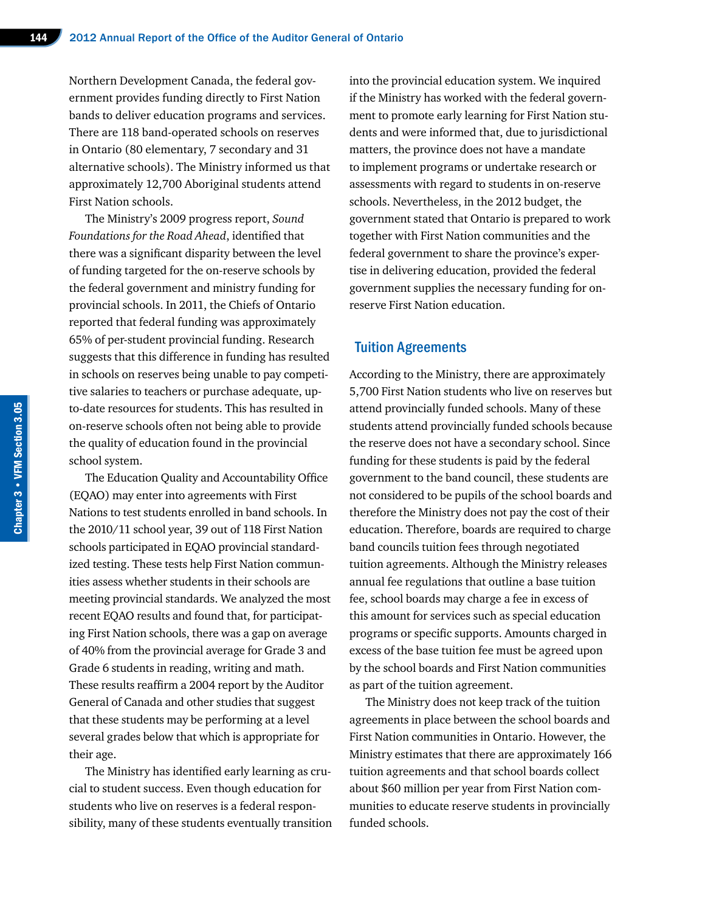Northern Development Canada, the federal government provides funding directly to First Nation bands to deliver education programs and services. There are 118 band-operated schools on reserves in Ontario (80 elementary, 7 secondary and 31 alternative schools). The Ministry informed us that approximately 12,700 Aboriginal students attend First Nation schools.

The Ministry's 2009 progress report, *Sound Foundations for the Road Ahead*, identified that there was a significant disparity between the level of funding targeted for the on-reserve schools by the federal government and ministry funding for provincial schools. In 2011, the Chiefs of Ontario reported that federal funding was approximately 65% of per-student provincial funding. Research suggests that this difference in funding has resulted in schools on reserves being unable to pay competitive salaries to teachers or purchase adequate, upto-date resources for students. This has resulted in on-reserve schools often not being able to provide the quality of education found in the provincial school system.

The Education Quality and Accountability Office (EQAO) may enter into agreements with First Nations to test students enrolled in band schools. In the 2010/11 school year, 39 out of 118 First Nation schools participated in EQAO provincial standardized testing. These tests help First Nation communities assess whether students in their schools are meeting provincial standards. We analyzed the most recent EQAO results and found that, for participating First Nation schools, there was a gap on average of 40% from the provincial average for Grade 3 and Grade 6 students in reading, writing and math. These results reaffirm a 2004 report by the Auditor General of Canada and other studies that suggest that these students may be performing at a level several grades below that which is appropriate for their age.

The Ministry has identified early learning as crucial to student success. Even though education for students who live on reserves is a federal responsibility, many of these students eventually transition into the provincial education system. We inquired if the Ministry has worked with the federal government to promote early learning for First Nation students and were informed that, due to jurisdictional matters, the province does not have a mandate to implement programs or undertake research or assessments with regard to students in on-reserve schools. Nevertheless, in the 2012 budget, the government stated that Ontario is prepared to work together with First Nation communities and the federal government to share the province's expertise in delivering education, provided the federal government supplies the necessary funding for onreserve First Nation education.

#### Tuition Agreements

According to the Ministry, there are approximately 5,700 First Nation students who live on reserves but attend provincially funded schools. Many of these students attend provincially funded schools because the reserve does not have a secondary school. Since funding for these students is paid by the federal government to the band council, these students are not considered to be pupils of the school boards and therefore the Ministry does not pay the cost of their education. Therefore, boards are required to charge band councils tuition fees through negotiated tuition agreements. Although the Ministry releases annual fee regulations that outline a base tuition fee, school boards may charge a fee in excess of this amount for services such as special education programs or specific supports. Amounts charged in excess of the base tuition fee must be agreed upon by the school boards and First Nation communities as part of the tuition agreement.

The Ministry does not keep track of the tuition agreements in place between the school boards and First Nation communities in Ontario. However, the Ministry estimates that there are approximately 166 tuition agreements and that school boards collect about \$60 million per year from First Nation communities to educate reserve students in provincially funded schools.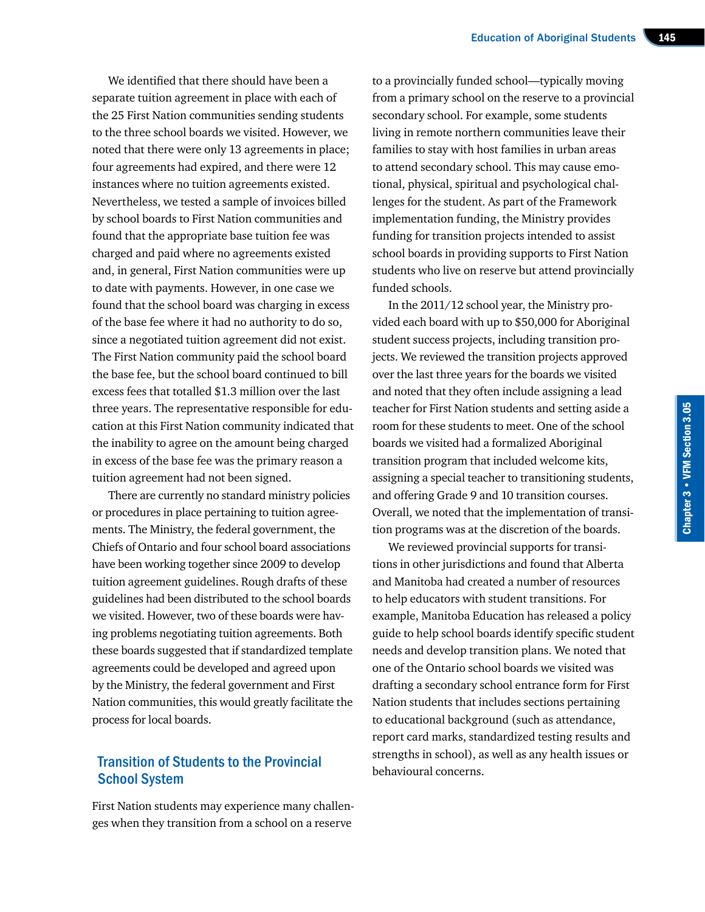We identified that there should have been a separate tuition agreement in place with each of the 25 First Nation communities sending students to the three school boards we visited. However, we noted that there were only 13 agreements in place; four agreements had expired, and there were 12 instances where no tuition agreements existed. Nevertheless, we tested a sample of invoices billed by school boards to First Nation communities and found that the appropriate base tuition fee was charged and paid where no agreements existed and, in general, First Nation communities were up to date with payments. However, in one case we found that the school board was charging in excess of the base fee where it had no authority to do so, since a negotiated tuition agreement did not exist. The First Nation community paid the school board the base fee, but the school board continued to bill excess fees that totalled \$1.3 million over the last three years. The representative responsible for education at this First Nation community indicated that the inability to agree on the amount being charged in excess of the base fee was the primary reason a tuition agreement had not been signed.

There are currently no standard ministry policies or procedures in place pertaining to tuition agreements. The Ministry, the federal government, the Chiefs of Ontario and four school board associations have been working together since 2009 to develop tuition agreement guidelines. Rough drafts of these guidelines had been distributed to the school boards we visited. However, two of these boards were having problems negotiating tuition agreements. Both these boards suggested that if standardized template agreements could be developed and agreed upon by the Ministry, the federal government and First Nation communities, this would greatly facilitate the process for local boards.

#### Transition of Students to the Provincial School System

First Nation students may experience many challenges when they transition from a school on a reserve

to a provincially funded school—typically moving from a primary school on the reserve to a provincial secondary school. For example, some students living in remote northern communities leave their families to stay with host families in urban areas to attend secondary school. This may cause emotional, physical, spiritual and psychological challenges for the student. As part of the Framework implementation funding, the Ministry provides funding for transition projects intended to assist school boards in providing supports to First Nation students who live on reserve but attend provincially funded schools.

In the 2011/12 school year, the Ministry provided each board with up to \$50,000 for Aboriginal student success projects, including transition projects. We reviewed the transition projects approved over the last three years for the boards we visited and noted that they often include assigning a lead teacher for First Nation students and setting aside a room for these students to meet. One of the school boards we visited had a formalized Aboriginal transition program that included welcome kits, assigning a special teacher to transitioning students, and offering Grade 9 and 10 transition courses. Overall, we noted that the implementation of transition programs was at the discretion of the boards.

We reviewed provincial supports for transitions in other jurisdictions and found that Alberta and Manitoba had created a number of resources to help educators with student transitions. For example, Manitoba Education has released a policy guide to help school boards identify specific student needs and develop transition plans. We noted that one of the Ontario school boards we visited was drafting a secondary school entrance form for First Nation students that includes sections pertaining to educational background (such as attendance, report card marks, standardized testing results and strengths in school), as well as any health issues or behavioural concerns.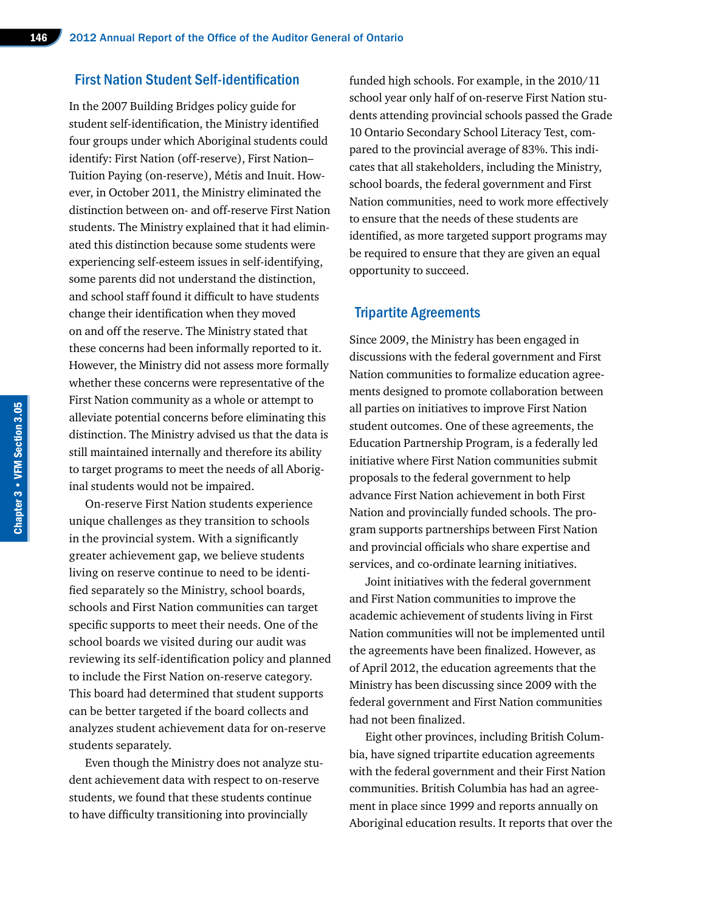#### First Nation Student Self-identification

In the 2007 Building Bridges policy guide for student self-identification, the Ministry identified four groups under which Aboriginal students could identify: First Nation (off-reserve), First Nation– Tuition Paying (on-reserve), Métis and Inuit. However, in October 2011, the Ministry eliminated the distinction between on- and off-reserve First Nation students. The Ministry explained that it had eliminated this distinction because some students were experiencing self-esteem issues in self-identifying, some parents did not understand the distinction, and school staff found it difficult to have students change their identification when they moved on and off the reserve. The Ministry stated that these concerns had been informally reported to it. However, the Ministry did not assess more formally whether these concerns were representative of the First Nation community as a whole or attempt to alleviate potential concerns before eliminating this distinction. The Ministry advised us that the data is still maintained internally and therefore its ability to target programs to meet the needs of all Aboriginal students would not be impaired.

On-reserve First Nation students experience unique challenges as they transition to schools in the provincial system. With a significantly greater achievement gap, we believe students living on reserve continue to need to be identified separately so the Ministry, school boards, schools and First Nation communities can target specific supports to meet their needs. One of the school boards we visited during our audit was reviewing its self-identification policy and planned to include the First Nation on-reserve category. This board had determined that student supports can be better targeted if the board collects and analyzes student achievement data for on-reserve students separately.

Even though the Ministry does not analyze student achievement data with respect to on-reserve students, we found that these students continue to have difficulty transitioning into provincially

funded high schools. For example, in the 2010/11 school year only half of on-reserve First Nation students attending provincial schools passed the Grade 10 Ontario Secondary School Literacy Test, compared to the provincial average of 83%. This indicates that all stakeholders, including the Ministry, school boards, the federal government and First Nation communities, need to work more effectively to ensure that the needs of these students are identified, as more targeted support programs may be required to ensure that they are given an equal opportunity to succeed.

#### Tripartite Agreements

Since 2009, the Ministry has been engaged in discussions with the federal government and First Nation communities to formalize education agreements designed to promote collaboration between all parties on initiatives to improve First Nation student outcomes. One of these agreements, the Education Partnership Program, is a federally led initiative where First Nation communities submit proposals to the federal government to help advance First Nation achievement in both First Nation and provincially funded schools. The program supports partnerships between First Nation and provincial officials who share expertise and services, and co-ordinate learning initiatives.

Joint initiatives with the federal government and First Nation communities to improve the academic achievement of students living in First Nation communities will not be implemented until the agreements have been finalized. However, as of April 2012, the education agreements that the Ministry has been discussing since 2009 with the federal government and First Nation communities had not been finalized.

Eight other provinces, including British Columbia, have signed tripartite education agreements with the federal government and their First Nation communities. British Columbia has had an agreement in place since 1999 and reports annually on Aboriginal education results. It reports that over the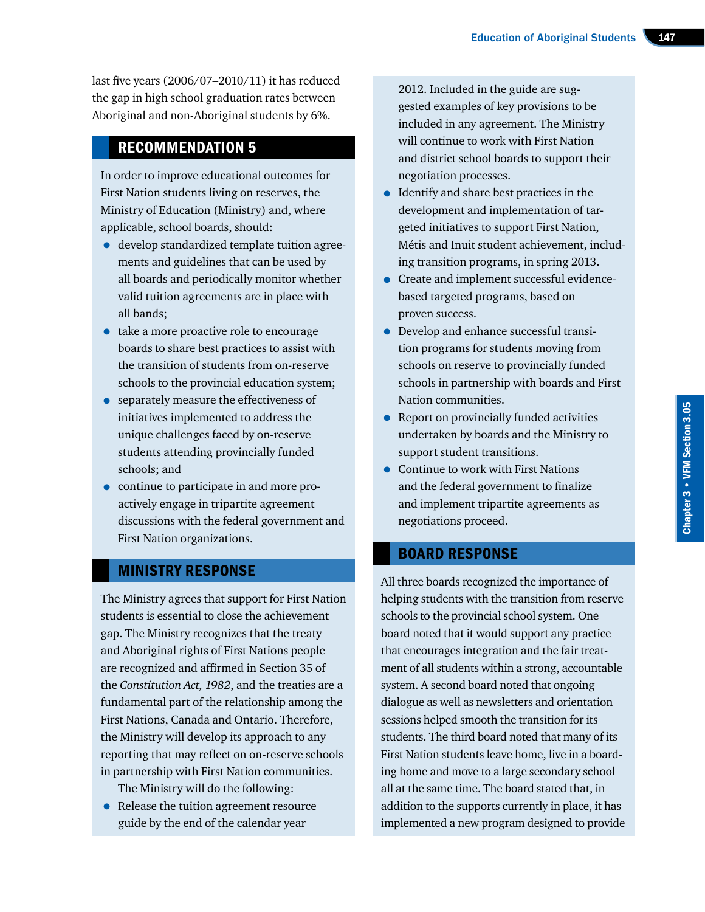last five years (2006/07–2010/11) it has reduced the gap in high school graduation rates between Aboriginal and non-Aboriginal students by 6%.

# RECOMMENDATION 5

In order to improve educational outcomes for First Nation students living on reserves, the Ministry of Education (Ministry) and, where applicable, school boards, should:

- develop standardized template tuition agreements and guidelines that can be used by all boards and periodically monitor whether valid tuition agreements are in place with all bands;
- take a more proactive role to encourage boards to share best practices to assist with the transition of students from on-reserve schools to the provincial education system;
- separately measure the effectiveness of initiatives implemented to address the unique challenges faced by on-reserve students attending provincially funded schools; and
- continue to participate in and more proactively engage in tripartite agreement discussions with the federal government and First Nation organizations.

# MINISTRY RESPONSE

The Ministry agrees that support for First Nation students is essential to close the achievement gap. The Ministry recognizes that the treaty and Aboriginal rights of First Nations people are recognized and affirmed in Section 35 of the *Constitution Act, 1982*, and the treaties are a fundamental part of the relationship among the First Nations, Canada and Ontario. Therefore, the Ministry will develop its approach to any reporting that may reflect on on-reserve schools in partnership with First Nation communities.

- The Ministry will do the following:
- Release the tuition agreement resource guide by the end of the calendar year

2012. Included in the guide are suggested examples of key provisions to be included in any agreement. The Ministry will continue to work with First Nation and district school boards to support their negotiation processes.

- Identify and share best practices in the development and implementation of targeted initiatives to support First Nation, Métis and Inuit student achievement, including transition programs, in spring 2013.
- Create and implement successful evidencebased targeted programs, based on proven success.
- Develop and enhance successful transition programs for students moving from schools on reserve to provincially funded schools in partnership with boards and First Nation communities.
- Report on provincially funded activities undertaken by boards and the Ministry to support student transitions.
- Continue to work with First Nations and the federal government to finalize and implement tripartite agreements as negotiations proceed.

# BOARD RESPONSE

All three boards recognized the importance of helping students with the transition from reserve schools to the provincial school system. One board noted that it would support any practice that encourages integration and the fair treatment of all students within a strong, accountable system. A second board noted that ongoing dialogue as well as newsletters and orientation sessions helped smooth the transition for its students. The third board noted that many of its First Nation students leave home, live in a boarding home and move to a large secondary school all at the same time. The board stated that, in addition to the supports currently in place, it has implemented a new program designed to provide